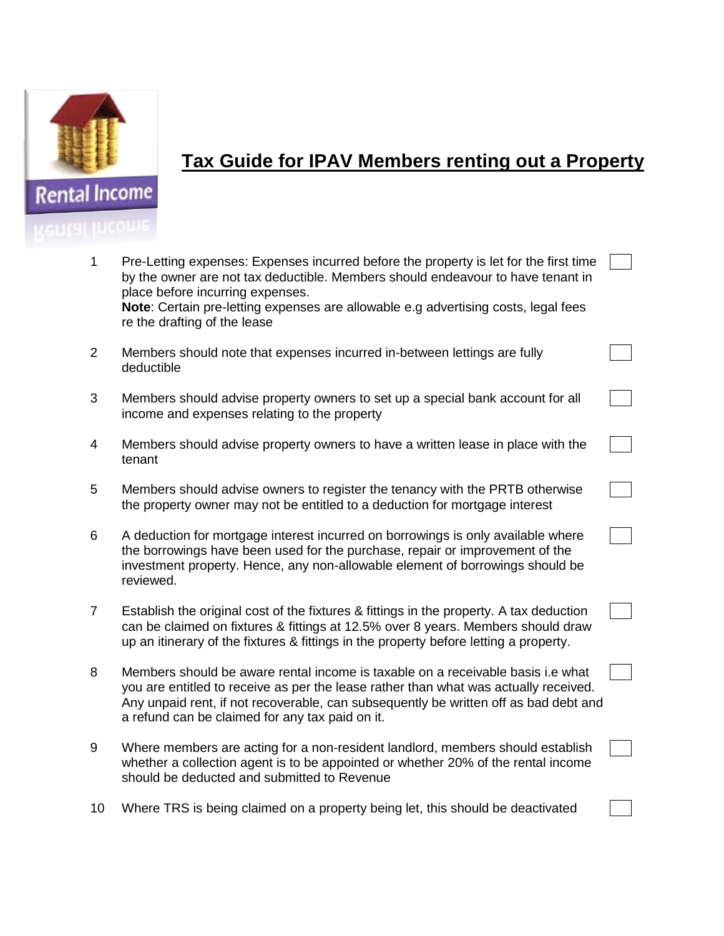

## **Tax Guide for IPAV Members renting out a Property**

| 1              | Pre-Letting expenses: Expenses incurred before the property is let for the first time<br>by the owner are not tax deductible. Members should endeavour to have tenant in<br>place before incurring expenses.<br>Note: Certain pre-letting expenses are allowable e.g advertising costs, legal fees<br>re the drafting of the lease |  |
|----------------|------------------------------------------------------------------------------------------------------------------------------------------------------------------------------------------------------------------------------------------------------------------------------------------------------------------------------------|--|
| 2              | Members should note that expenses incurred in-between lettings are fully<br>deductible                                                                                                                                                                                                                                             |  |
| 3              | Members should advise property owners to set up a special bank account for all<br>income and expenses relating to the property                                                                                                                                                                                                     |  |
| 4              | Members should advise property owners to have a written lease in place with the<br>tenant                                                                                                                                                                                                                                          |  |
| 5              | Members should advise owners to register the tenancy with the PRTB otherwise<br>the property owner may not be entitled to a deduction for mortgage interest                                                                                                                                                                        |  |
| 6              | A deduction for mortgage interest incurred on borrowings is only available where<br>the borrowings have been used for the purchase, repair or improvement of the<br>investment property. Hence, any non-allowable element of borrowings should be<br>reviewed.                                                                     |  |
| $\overline{7}$ | Establish the original cost of the fixtures & fittings in the property. A tax deduction<br>can be claimed on fixtures & fittings at 12.5% over 8 years. Members should draw<br>up an itinerary of the fixtures & fittings in the property before letting a property.                                                               |  |
| 8              | Members should be aware rental income is taxable on a receivable basis i.e what<br>you are entitled to receive as per the lease rather than what was actually received.<br>Any unpaid rent, if not recoverable, can subsequently be written off as bad debt and<br>a refund can be claimed for any tax paid on it.                 |  |
| 9              | Where members are acting for a non-resident landlord, members should establish<br>whether a collection agent is to be appointed or whether 20% of the rental income                                                                                                                                                                |  |

10 Where TRS is being claimed on a property being let, this should be deactivated

should be deducted and submitted to Revenue